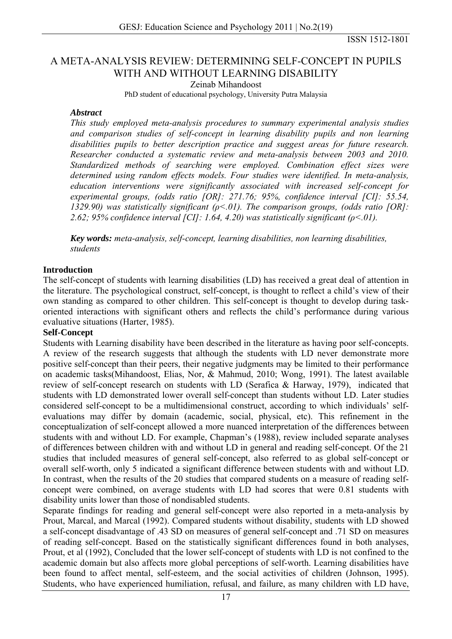ISSN 1512-1801

# A META-ANALYSIS REVIEW: DETERMINING SELF-CONCEPT IN PUPILS WITH AND WITHOUT LEARNING DISABILITY

Zeinab Mihandoost

PhD student of educational psychology, University Putra Malaysia

#### *Abstract*

*This study employed meta-analysis procedures to summary experimental analysis studies and comparison studies of self-concept in learning disability pupils and non learning disabilities pupils to better description practice and suggest areas for future research. Researcher conducted a systematic review and meta-analysis between 2003 and 2010. Standardized methods of searching were employed. Combination effect sizes were determined using random effects models. Four studies were identified. In meta-analysis, education interventions were significantly associated with increased self-concept for experimental groups, (odds ratio [OR]: 271.76; 95%, confidence interval [CI]: 55.54, 1329.90) was statistically significant (ρ<.01). The comparison groups, (odds ratio [OR]: 2.62; 95% confidence interval [CI]: 1.64, 4.20) was statistically significant (ρ<.01).* 

*Key words: meta-analysis, self-concept, learning disabilities, non learning disabilities, students* 

### **Introduction**

The self-concept of students with learning disabilities (LD) has received a great deal of attention in the literature. The psychological construct, self-concept, is thought to reflect a child's view of their own standing as compared to other children. This self-concept is thought to develop during taskoriented interactions with significant others and reflects the child's performance during various evaluative situations [\(Harter, 1985\)](#page-5-0).

### **Self-Concept**

Students with Learning disability have been described in the literature as having poor self-concepts. A review of the research suggests that although the students with LD never demonstrate more positive self-concept than their peers, their negative judgments may be limited to their performance on academic tasks[\(Mihandoost, Elias, Nor, & Mahmud, 2010](#page-5-0); [Wong, 1991\)](#page-6-0). The latest available review of self-concept research on students with LD ([Serafica & Harway, 1979\)](#page-6-0), indicated that students with LD demonstrated lower overall self-concept than students without LD. Later studies considered self-concept to be a multidimensional construct, according to which individuals' selfevaluations may differ by domain (academic, social, physical, etc). This refinement in the conceptualization of self-concept allowed a more nuanced interpretation of the differences between students with and without LD. For example, Chapman's ([1988\)](#page-5-0), review included separate analyses of differences between children with and without LD in general and reading self-concept. Of the 21 studies that included measures of general self-concept, also referred to as global self-concept or overall self-worth, only 5 indicated a significant difference between students with and without LD. In contrast, when the results of the 20 studies that compared students on a measure of reading selfconcept were combined, on average students with LD had scores that were 0.81 students with disability units lower than those of nondisabled students.

Separate findings for reading and general self-concept were also reported in a meta-analysis by Prout, Marcal, and Marcal [\(1992](#page-5-0)). Compared students without disability, students with LD showed a self-concept disadvantage of .43 SD on measures of general self-concept and .71 SD on measures of reading self-concept. Based on the statistically significant differences found in both analyses, Prout, et al ([1992\)](#page-5-0), Concluded that the lower self-concept of students with LD is not confined to the academic domain but also affects more global perceptions of self-worth. Learning disabilities have been found to affect mental, self-esteem, and the social activities of children ([Johnson, 1995\)](#page-5-0). Students, who have experienced humiliation, refusal, and failure, as many children with LD have,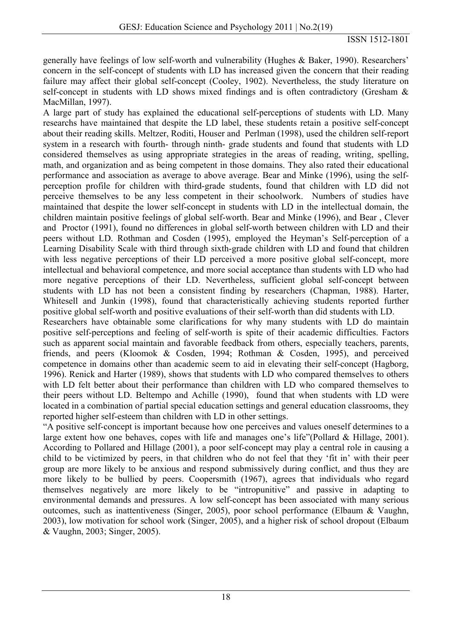generally have feelings of low self-worth and vulnerability ([Hughes & Baker, 1990\)](#page-5-0). Researchers' concern in the self-concept of students with LD has increased given the concern that their reading failure may affect their global self-concept ([Cooley, 1902](#page-5-0)). Nevertheless, the study literature on self-concept in students with LD shows mixed findings and is often contradictory ([Gresham &](#page-5-0)  [MacMillan, 1997](#page-5-0)).

A large part of study has explained the educational self-perceptions of students with LD. Many researchs have maintained that despite the LD label, these students retain a positive self-concept about their reading skills. Meltzer, Roditi, Houser and Perlman [\(1998](#page-5-0)), used the children self-report system in a research with fourth- through ninth- grade students and found that students with LD considered themselves as using appropriate strategies in the areas of reading, writing, spelling, math, and organization and as being competent in those domains. They also rated their educational performance and association as average to above average. Bear and Minke ([1996\)](#page-5-0), using the selfperception profile for children with third-grade students, found that children with LD did not perceive themselves to be any less competent in their schoolwork. Numbers of studies have maintained that despite the lower self-concept in students with LD in the intellectual domain, the children maintain positive feelings of global self-worth. Bear and Minke [\(1996](#page-5-0)), and Bear , Clever and Proctor ([1991\)](#page-5-0), found no differences in global self-worth between children with LD and their peers without LD. Rothman and Cosden [\(1995](#page-6-0)), employed the Heyman's Self-perception of a Learning Disability Scale with third through sixth-grade children with LD and found that children with less negative perceptions of their LD perceived a more positive global self-concept, more intellectual and behavioral competence, and more social acceptance than students with LD who had more negative perceptions of their LD. Nevertheless, sufficient global self-concept between students with LD has not been a consistent finding by researchers ([Chapman, 1988\)](#page-5-0). Harter, Whitesell and Junkin ([1998\)](#page-5-0), found that characteristically achieving students reported further positive global self-worth and positive evaluations of their self-worth than did students with LD.

Researchers have obtainable some clarifications for why many students with LD do maintain positive self-perceptions and feeling of self-worth is spite of their academic difficulties. Factors such as apparent social maintain and favorable feedback from others, especially teachers, parents, friends, and peers [\(Kloomok & Cosden, 1994;](#page-5-0) [Rothman & Cosden, 1995\)](#page-6-0), and perceived competence in domains other than academic seem to aid in elevating their self-concept ([Hagborg,](#page-5-0)  [1996\)](#page-5-0). Renick and Harter ([1989\)](#page-6-0), shows that students with LD who compared themselves to others with LD felt better about their performance than children with LD who compared themselves to their peers without LD. Beltempo and Achille ([1990\)](#page-5-0), found that when students with LD were located in a combination of partial special education settings and general education classrooms, they reported higher self-esteem than children with LD in other settings.

"A positive self-concept is important because how one perceives and values oneself determines to a large extent how one behaves, copes with life and manages one's life"[\(Pollard & Hillage, 2001\)](#page-5-0). According to Pollared and Hillage ([2001\)](#page-5-0), a poor self-concept may play a central role in causing a child to be victimized by peers, in that children who do not feel that they 'fit in' with their peer group are more likely to be anxious and respond submissively during conflict, and thus they are more likely to be bullied by peers. Coopersmith [\(1967](#page-5-0)), agrees that individuals who regard themselves negatively are more likely to be "intropunitive" and passive in adapting to environmental demands and pressures. A low self-concept has been associated with many serious outcomes, such as inattentiveness [\(Singer, 2005](#page-6-0)), poor school performance [\(Elbaum & Vaughn,](#page-5-0)  [2003\)](#page-5-0), low motivation for school work ([Singer, 2005](#page-6-0)), and a higher risk of school dropout [\(Elbaum](#page-5-0)  [& Vaughn, 2003](#page-5-0); [Singer, 2005\)](#page-6-0).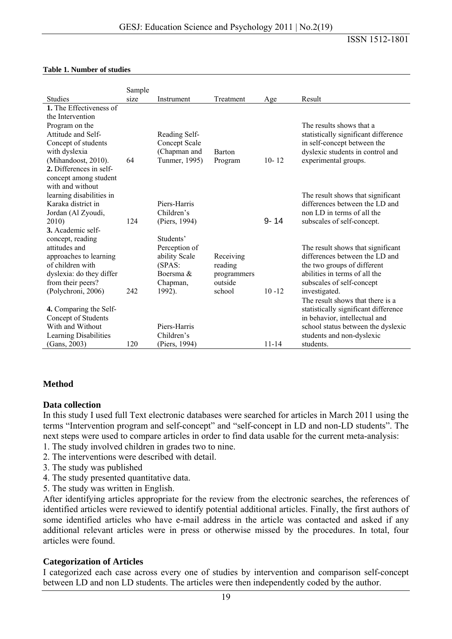ISSN 1512-1801

|                                                | Sample |                             |               |           |                                                                     |
|------------------------------------------------|--------|-----------------------------|---------------|-----------|---------------------------------------------------------------------|
| <b>Studies</b>                                 | size   | Instrument                  | Treatment     | Age       | Result                                                              |
| 1. The Effectiveness of                        |        |                             |               |           |                                                                     |
| the Intervention                               |        |                             |               |           |                                                                     |
| Program on the                                 |        |                             |               |           | The results shows that a                                            |
| Attitude and Self-                             |        | Reading Self-               |               |           | statistically significant difference                                |
| Concept of students                            |        | Concept Scale               |               |           | in self-concept between the                                         |
| with dyslexia                                  |        | (Chapman and                | <b>Barton</b> |           | dyslexic students in control and                                    |
| (Mihandoost, 2010).                            | 64     | Tunmer, 1995)               | Program       | $10 - 12$ | experimental groups.                                                |
| 2. Differences in self-                        |        |                             |               |           |                                                                     |
| concept among student                          |        |                             |               |           |                                                                     |
| with and without                               |        |                             |               |           |                                                                     |
| learning disabilities in<br>Karaka district in |        | Piers-Harris                |               |           | The result shows that significant<br>differences between the LD and |
|                                                |        |                             |               |           |                                                                     |
| Jordan (Al Zyoudi,                             | 124    | Children's                  |               | $9 - 14$  | non LD in terms of all the                                          |
| 2010)<br>3. Academic self-                     |        | (Piers, 1994)               |               |           | subscales of self-concept.                                          |
|                                                |        | Students'                   |               |           |                                                                     |
| concept, reading<br>attitudes and              |        |                             |               |           | The result shows that significant                                   |
| approaches to learning                         |        | Perception of               | Receiving     |           | differences between the LD and                                      |
| of children with                               |        | ability Scale<br>(SPAS)     | reading       |           | the two groups of different                                         |
| dyslexia: do they differ                       |        | Boersma $\&$                | programmers   |           | abilities in terms of all the                                       |
| from their peers?                              |        | Chapman,                    | outside       |           | subscales of self-concept                                           |
| (Polychroni, 2006)                             | 242    | 1992).                      | school        | $10 - 12$ | investigated.                                                       |
|                                                |        |                             |               |           | The result shows that there is a                                    |
| 4. Comparing the Self-                         |        |                             |               |           | statistically significant difference                                |
| Concept of Students                            |        |                             |               |           | in behavior, intellectual and                                       |
| With and Without                               |        | Piers-Harris                |               |           |                                                                     |
|                                                |        |                             |               |           |                                                                     |
|                                                | 120    |                             |               | $11 - 14$ | students.                                                           |
| Learning Disabilities<br>(Gans, 2003)          |        | Children's<br>(Piers, 1994) |               |           | school status between the dyslexic<br>students and non-dyslexic     |

#### **Table 1. Number of studies**

### **Method**

#### **Data collection**

In this study I used full Text electronic databases were searched for articles in March 2011 using the terms "Intervention program and self-concept" and "self-concept in LD and non-LD students". The next steps were used to compare articles in order to find data usable for the current meta-analysis:

- 1. The study involved children in grades two to nine.
- 2. The interventions were described with detail.
- 3. The study was published
- 4. The study presented quantitative data.
- 5. The study was written in English.

After identifying articles appropriate for the review from the electronic searches, the references of identified articles were reviewed to identify potential additional articles. Finally, the first authors of some identified articles who have e-mail address in the article was contacted and asked if any additional relevant articles were in press or otherwise missed by the procedures. In total, four articles were found.

#### **Categorization of Articles**

I categorized each case across every one of studies by intervention and comparison self-concept between LD and non LD students. The articles were then independently coded by the author.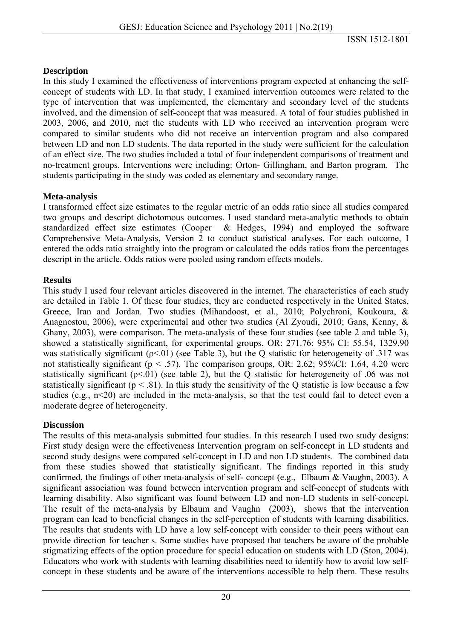### **Description**

In this study I examined the effectiveness of interventions program expected at enhancing the selfconcept of students with LD. In that study, I examined intervention outcomes were related to the type of intervention that was implemented, the elementary and secondary level of the students involved, and the dimension of self-concept that was measured. A total of four studies published in 2003, 2006, and 2010, met the students with LD who received an intervention program were compared to similar students who did not receive an intervention program and also compared between LD and non LD students. The data reported in the study were sufficient for the calculation of an effect size. The two studies included a total of four independent comparisons of treatment and no-treatment groups. Interventions were including: Orton- Gillingham, and Barton program. The students participating in the study was coded as elementary and secondary range.

## **Meta-analysis**

I transformed effect size estimates to the regular metric of an odds ratio since all studies compared two groups and descript dichotomous outcomes. I used standard meta-analytic methods to obtain standardized effect size estimates [\(Cooper & Hedges, 1994\)](#page-5-0) and employed the software Comprehensive Meta-Analysis, Version 2 to conduct statistical analyses. For each outcome, I entered the odds ratio straightly into the program or calculated the odds ratios from the percentages descript in the article. Odds ratios were pooled using random effects models.

## **Results**

This study I used four relevant articles discovered in the internet. The characteristics of each study are detailed in Table 1. Of these four studies, they are conducted respectively in the United States, Greece, Iran and Jordan. Two studies [\(Mihandoost, et al., 2010;](#page-5-0) [Polychroni, Koukoura, &](#page-5-0)  [Anagnostou, 2006](#page-5-0)), were experimental and other two studies [\(Al Zyoudi, 2010](#page-5-0); [Gans, Kenny, &](#page-5-0)  [Ghany, 2003\)](#page-5-0), were comparison. The meta-analysis of these four studies (see table 2 and table 3), showed a statistically significant, for experimental groups, OR: 271.76; 95% CI: 55.54, 1329.90 was statistically significant ( $p \le 01$ ) (see Table 3), but the O statistic for heterogeneity of .317 was not statistically significant ( $p < .57$ ). The comparison groups, OR: 2.62; 95%CI: 1.64, 4.20 were statistically significant ( $\rho$ <.01) (see table 2), but the Q statistic for heterogeneity of .06 was not statistically significant ( $p < .81$ ). In this study the sensitivity of the Q statistic is low because a few studies (e.g., n<20) are included in the meta-analysis, so that the test could fail to detect even a moderate degree of heterogeneity.

# **Discussion**

The results of this meta-analysis submitted four studies. In this research I used two study designs: First study design were the effectiveness Intervention program on self-concept in LD students and second study designs were compared self-concept in LD and non LD students. The combined data from these studies showed that statistically significant. The findings reported in this study confirmed, the findings of other meta-analysis of self- concept [\(e.g., Elbaum & Vaughn, 2003](#page-5-0)). A significant association was found between intervention program and self-concept of students with learning disability. Also significant was found between LD and non-LD students in self-concept. The result of the meta-analysis by Elbaum and Vaughn [\(2003](#page-5-0)), shows that the intervention program can lead to beneficial changes in the self-perception of students with learning disabilities. The results that students with LD have a low self-concept with consider to their peers without can provide direction for teacher s. Some studies have proposed that teachers be aware of the probable stigmatizing effects of the option procedure for special education on students with LD [\(Ston, 2004\)](#page-6-0). Educators who work with students with learning disabilities need to identify how to avoid low selfconcept in these students and be aware of the interventions accessible to help them. These results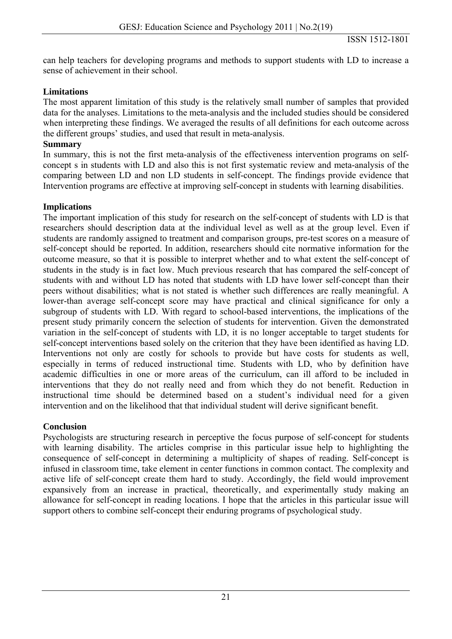can help teachers for developing programs and methods to support students with LD to increase a sense of achievement in their school.

## **Limitations**

The most apparent limitation of this study is the relatively small number of samples that provided data for the analyses. Limitations to the meta-analysis and the included studies should be considered when interpreting these findings. We averaged the results of all definitions for each outcome across the different groups' studies, and used that result in meta-analysis.

### **Summary**

In summary, this is not the first meta-analysis of the effectiveness intervention programs on selfconcept s in students with LD and also this is not first systematic review and meta-analysis of the comparing between LD and non LD students in self-concept. The findings provide evidence that Intervention programs are effective at improving self-concept in students with learning disabilities.

## **Implications**

The important implication of this study for research on the self-concept of students with LD is that researchers should description data at the individual level as well as at the group level. Even if students are randomly assigned to treatment and comparison groups, pre-test scores on a measure of self-concept should be reported. In addition, researchers should cite normative information for the outcome measure, so that it is possible to interpret whether and to what extent the self-concept of students in the study is in fact low. Much previous research that has compared the self-concept of students with and without LD has noted that students with LD have lower self-concept than their peers without disabilities; what is not stated is whether such differences are really meaningful. A lower-than average self-concept score may have practical and clinical significance for only a subgroup of students with LD. With regard to school-based interventions, the implications of the present study primarily concern the selection of students for intervention. Given the demonstrated variation in the self-concept of students with LD, it is no longer acceptable to target students for self-concept interventions based solely on the criterion that they have been identified as having LD. Interventions not only are costly for schools to provide but have costs for students as well. especially in terms of reduced instructional time. Students with LD, who by definition have academic difficulties in one or more areas of the curriculum, can ill afford to be included in interventions that they do not really need and from which they do not benefit. Reduction in instructional time should be determined based on a student's individual need for a given intervention and on the likelihood that that individual student will derive significant benefit.

# **Conclusion**

Psychologists are structuring research in perceptive the focus purpose of self-concept for students with learning disability. The articles comprise in this particular issue help to highlighting the consequence of self-concept in determining a multiplicity of shapes of reading. Self-concept is infused in classroom time, take element in center functions in common contact. The complexity and active life of self-concept create them hard to study. Accordingly, the field would improvement expansively from an increase in practical, theoretically, and experimentally study making an allowance for self-concept in reading locations. I hope that the articles in this particular issue will support others to combine self-concept their enduring programs of psychological study.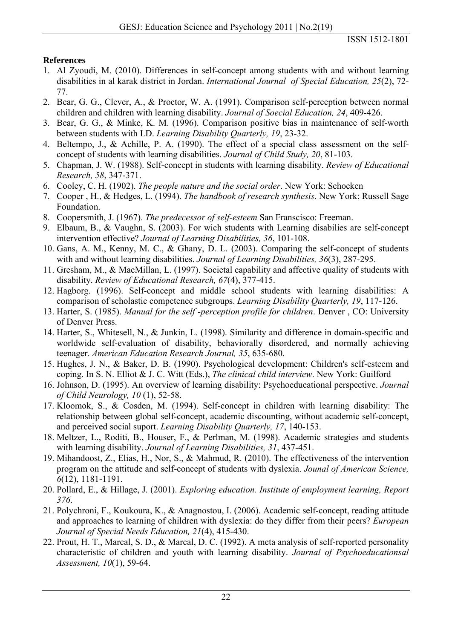# <span id="page-5-0"></span>**References**

- 1. Al Zyoudi, M. (2010). Differences in self-concept among students with and without learning disabilities in al karak district in Jordan. *International Journal of Special Education, 25*(2), 72- 77.
- 2. Bear, G. G., Clever, A., & Proctor, W. A. (1991). Comparison self-perception between normal children and children with learning disability. *Journal of Soecial Education, 24*, 409-426.
- 3. Bear, G. G., & Minke, K. M. (1996). Comparison positive bias in maintenance of self-worth between students with LD. *Learning Disability Quarterly, 19*, 23-32.
- 4. Beltempo, J., & Achille, P. A. (1990). The effect of a special class assessment on the selfconcept of students with learning disabilities. *Journal of Child Study, 20*, 81-103.
- 5. Chapman, J. W. (1988). Self-concept in students with learning disability. *Review of Educational Research, 58*, 347-371.
- 6. Cooley, C. H. (1902). *The people nature and the social order*. New York: Schocken
- 7. Cooper , H., & Hedges, L. (1994). *The handbook of research synthesis*. New York: Russell Sage Foundation.
- 8. Coopersmith, J. (1967). *The predecessor of self-esteem* San Franscisco: Freeman.
- 9. Elbaum, B., & Vaughn, S. (2003). For wich students with Learning disabilies are self-concept intervention effective? *Journal of Learning Disabilities, 36*, 101-108.
- 10. Gans, A. M., Kenny, M. C., & Ghany, D. L. (2003). Comparing the self-concept of students with and without learning disabilities. *Journal of Learning Disabilities, 36*(3), 287-295.
- 11. Gresham, M., & MacMillan, L. (1997). Societal capability and affective quality of students with disability. *Review of Educational Research, 67*(4), 377-415.
- 12. Hagborg. (1996). Self-concept and middle school students with learning disabilities: A comparison of scholastic competence subgroups. *Learning Disability Quarterly, 19*, 117-126.
- 13. Harter, S. (1985). *Manual for the self -perception profile for children*. Denver , CO: University of Denver Press.
- 14. Harter, S., Whitesell, N., & Junkin, L. (1998). Similarity and difference in domain-specific and worldwide self-evaluation of disability, behaviorally disordered, and normally achieving teenager. *American Education Research Journal, 35*, 635-680.
- 15. Hughes, J. N., & Baker, D. B. (1990). Psychological development: Children's self-esteem and coping. In S. N. Elliot & J. C. Witt (Eds.), *The clinical child interview*. New York: Guilford
- 16. Johnson, D. (1995). An overview of learning disability: Psychoeducational perspective. *Journal of Child Neurology, 10* (1), 52-58.
- 17. Kloomok, S., & Cosden, M. (1994). Self-concept in children with learning disability: The relationship between global self-concept, academic discounting, without academic self-concept, and perceived social suport. *Learning Disability Quarterly, 17*, 140-153.
- 18. Meltzer, L., Roditi, B., Houser, F., & Perlman, M. (1998). Academic strategies and students with learning disability. *Journal of Learning Disabilities, 31*, 437-451.
- 19. Mihandoost, Z., Elias, H., Nor, S., & Mahmud, R. (2010). The effectiveness of the intervention program on the attitude and self-concept of students with dyslexia. *Jounal of American Science, 6*(12), 1181-1191.
- 20. Pollard, E., & Hillage, J. (2001). *Exploring education. Institute of employment learning, Report 376*.
- 21. Polychroni, F., Koukoura, K., & Anagnostou, I. (2006). Academic self-concept, reading attitude and approaches to learning of children with dyslexia: do they differ from their peers? *European Journal of Special Needs Education, 21*(4), 415-430.
- 22. Prout, H. T., Marcal, S. D., & Marcal, D. C. (1992). A meta analysis of self-reported personality characteristic of children and youth with learning disability. *Journal of Psychoeducationsal Assessment, 10*(1), 59-64.